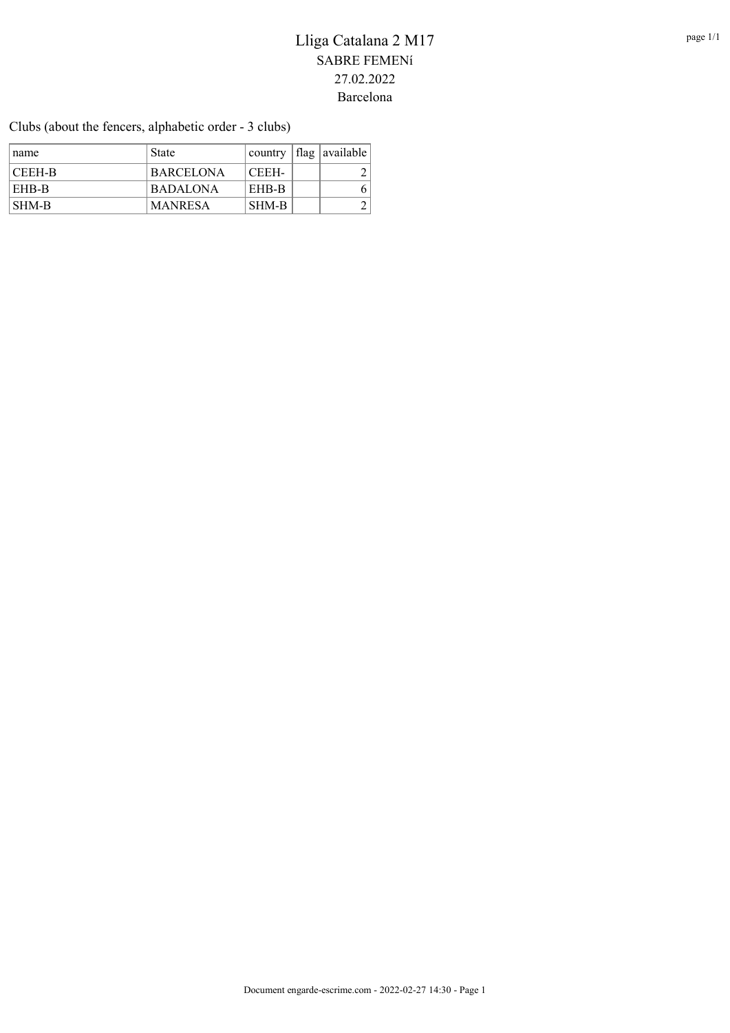Clubs (about the fencers, alphabetic order - 3 clubs)

| ∣ name | <b>State</b>     |              | $\alpha$ country $\alpha$ flag $\alpha$ available |
|--------|------------------|--------------|---------------------------------------------------|
| CEEH-B | <b>BARCELONA</b> | CEEH-        |                                                   |
| EHB-B  | <b>BADALONA</b>  | <b>EHB-B</b> |                                                   |
| SHM-B  | <b>MANRESA</b>   | SHM-B        |                                                   |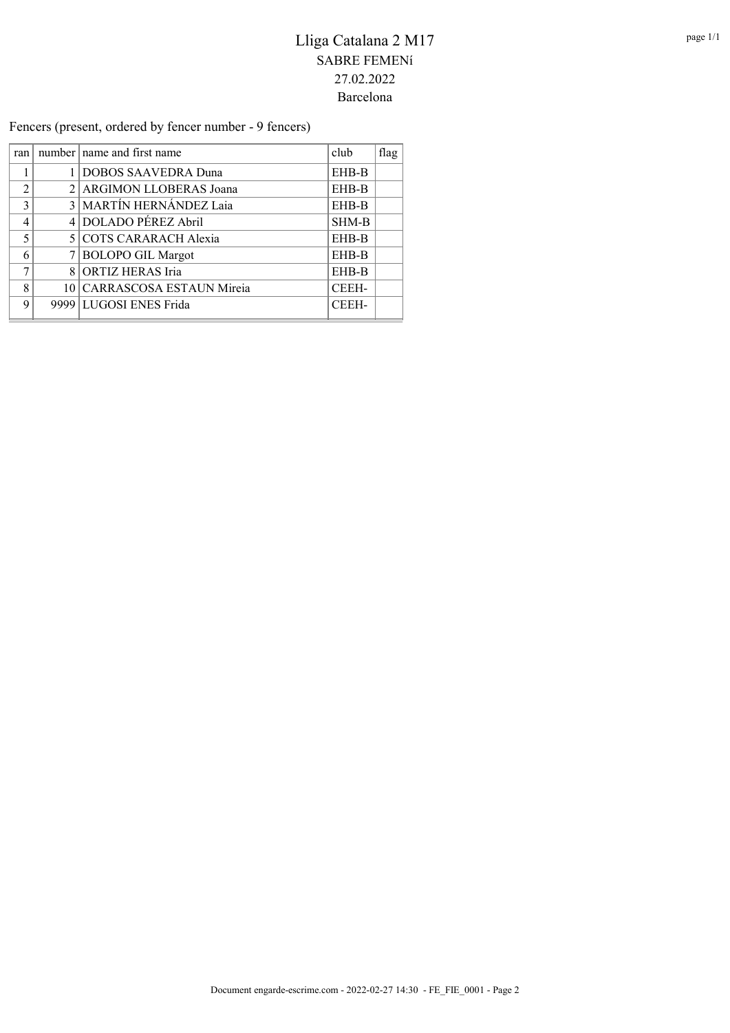Fencers (present, ordered by fencer number - 9 fencers)

| ran <sub>l</sub> | number   name and first name | club  | flag |
|------------------|------------------------------|-------|------|
|                  | DOBOS SAAVEDRA Duna          | EHB-B |      |
| $\mathfrak{D}$   | 2 ARGIMON LLOBERAS Joana     | EHB-B |      |
| $\mathcal{R}$    | 3 MARTÍN HERNÁNDEZ Laia      | EHB-B |      |
| $\overline{4}$   | 4 DOLADO PÉREZ Abril         | SHM-B |      |
| $\varsigma$      | 5 COTS CARARACH Alexia       | EHB-B |      |
| 6                | 7 BOLOPO GIL Margot          | EHB-B |      |
| $\mathbf{r}$     | 8 ORTIZ HERAS Iria           | EHB-B |      |
| 8                | 10 CARRASCOSA ESTAUN Mireia  | CEEH- |      |
| $\Omega$         | 9999 LUGOSI ENES Frida       | CEEH- |      |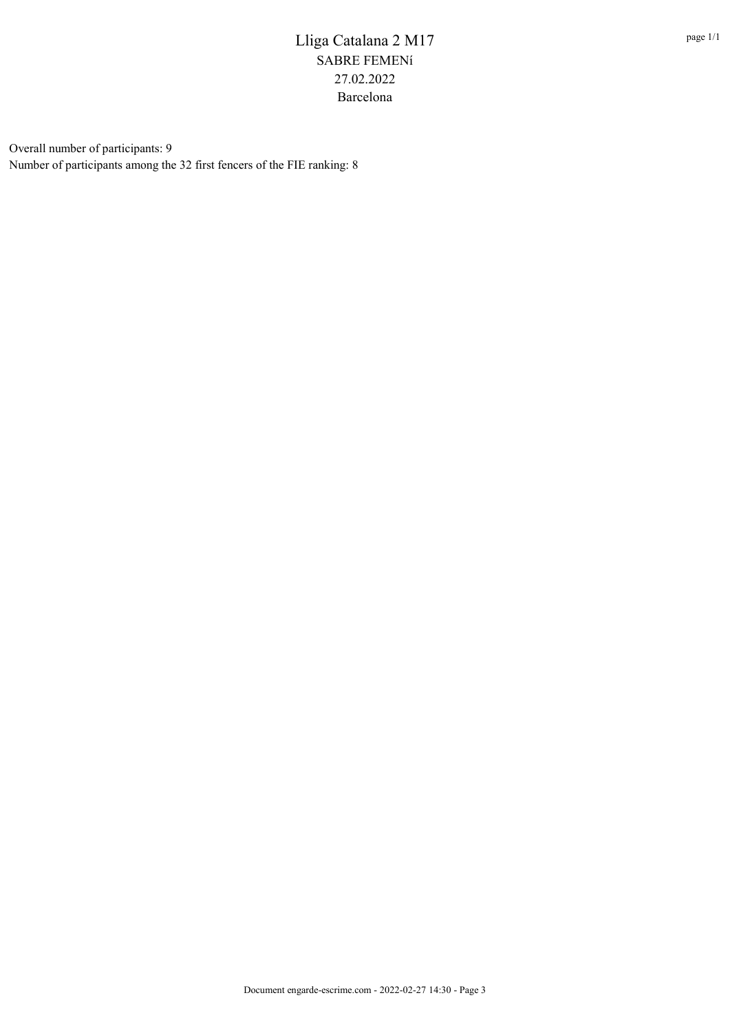Overall number of participants: 9 Number of participants among the 32 first fencers of the FIE ranking: 8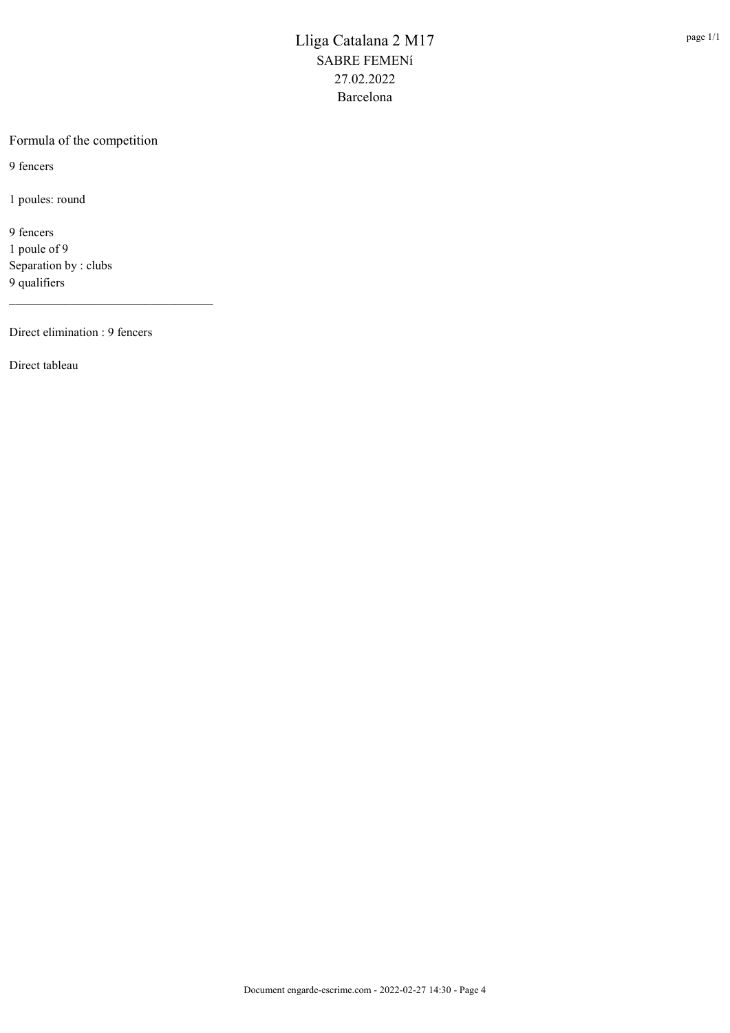#### Formula of the competition

9 fencers

1 poules: round

9 fencers 1 poule of 9 Separation by : clubs 9 qualifiers

Direct elimination : 9 fencers

\_\_\_\_\_\_\_\_\_\_\_\_\_\_\_\_\_\_\_\_\_\_\_\_\_\_\_\_\_\_\_\_\_

Direct tableau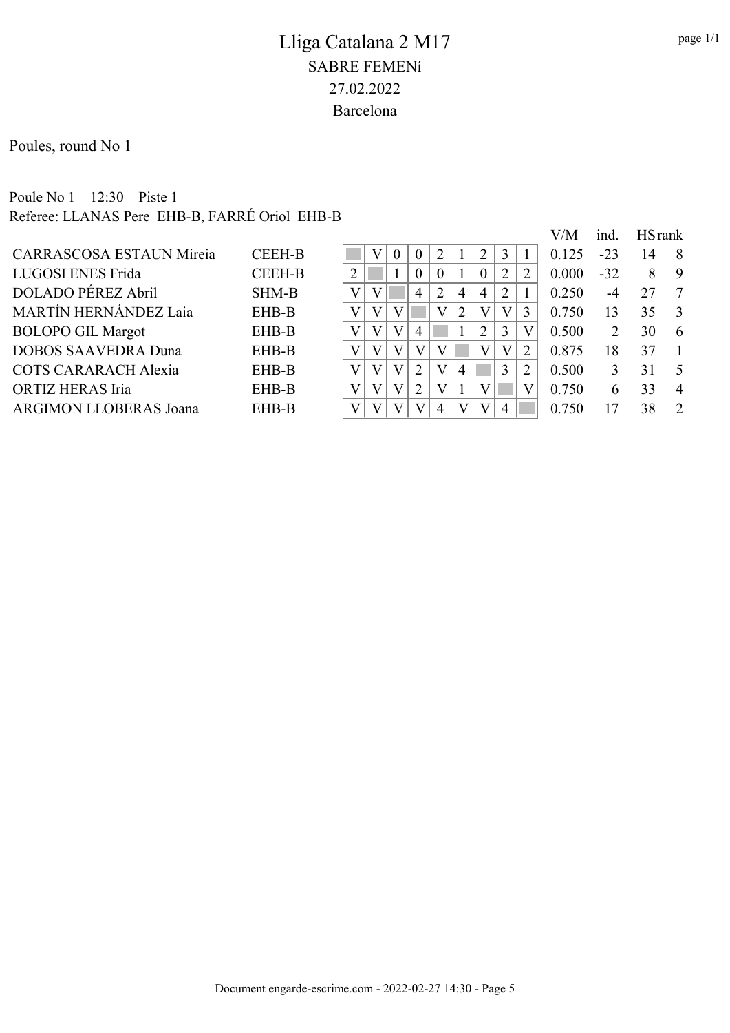Poules, round No 1

### Poule No 1 12:30 Piste 1 Referee: LLANAS Pere EHB-B, FARRÉ Oriol EHB-B

|                                 |               |   |              |                |                |                |                             |                |   | V/M   | ind.  | <b>HS</b> rank |                |
|---------------------------------|---------------|---|--------------|----------------|----------------|----------------|-----------------------------|----------------|---|-------|-------|----------------|----------------|
| <b>CARRASCOSA ESTAUN Mireia</b> | <b>CEEH-B</b> |   | $\Omega$     | $\theta$       | ◠              |                | 2                           |                |   | 0.125 | $-23$ | 14             | 8              |
| LUGOSI ENES Frida               | <b>CEEH-B</b> |   |              | $\theta$       | $\theta$       |                | $\theta$                    | $\overline{2}$ | 2 | 0.000 | $-32$ | 8              | 9              |
| DOLADO PÉREZ Abril              | <b>SHM-B</b>  | V |              | 4              | $\overline{2}$ | $\overline{4}$ | $\overline{4}$              | 2              |   | 0.250 | $-4$  | 27             | -7             |
| <b>MARTÍN HERNÁNDEZ Laia</b>    | EHB-B         | V |              |                |                | 2              | V                           | V              | 3 | 0.750 | 13    | 35             | -3             |
| <b>BOLOPO GIL Margot</b>        | EHB-B         | V | V            | 4              |                |                | $\mathcal{D}_{\mathcal{L}}$ | 3              |   | 0.500 |       | 30             | 6              |
| <b>DOBOS SAAVEDRA Duna</b>      | EHB-B         | V | V            | V              |                |                |                             | V              | 2 | 0.875 | 18    | 37             |                |
| <b>COTS CARARACH Alexia</b>     | EHB-B         | V | V            | $\overline{2}$ | V              | 4              |                             |                | 2 | 0.500 |       | 31             | -5             |
| ORTIZ HERAS Iria                | EHB-B         | V | $\mathbf{V}$ | $\overline{2}$ |                |                |                             |                |   | 0.750 | h     | 33             | $\overline{4}$ |
| <b>ARGIMON LLOBERAS Joana</b>   | EHB-B         | V | V            |                | 4              | $\mathbf{V}$   | V                           |                |   | 0.750 |       | 38             | $\mathcal{D}$  |
|                                 |               |   |              |                |                |                |                             |                |   |       |       |                |                |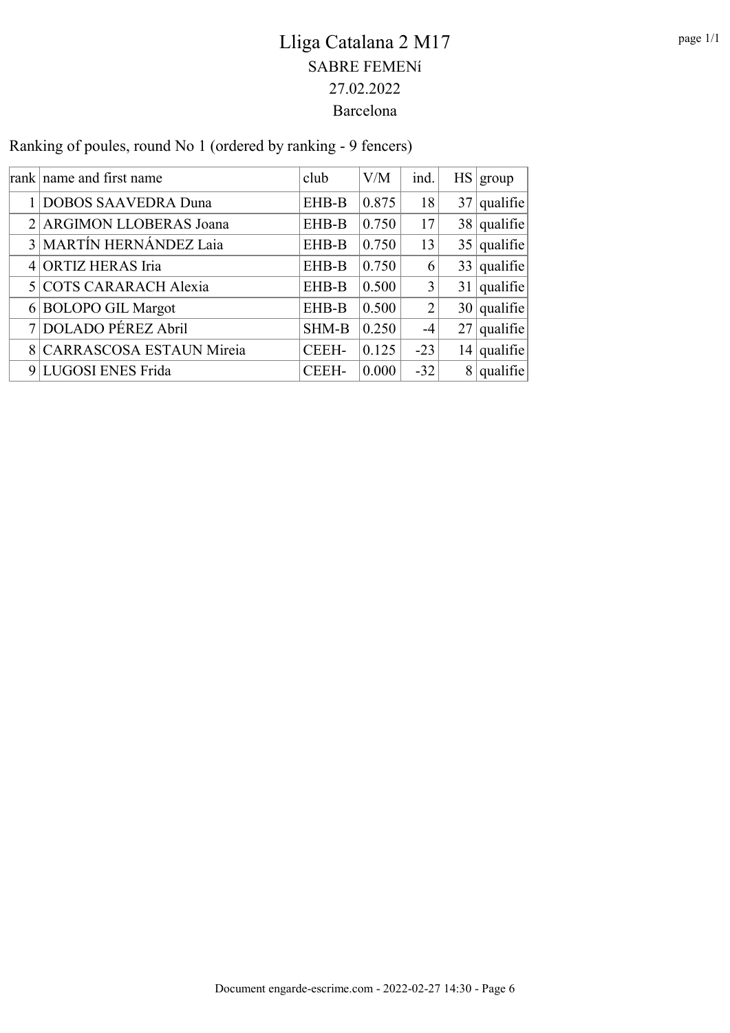| Ranking of poules, round No 1 (ordered by ranking - 9 fencers) |  |
|----------------------------------------------------------------|--|
|                                                                |  |

| rank name and first name   | club         | V/M   | ind.  | HS   group    |
|----------------------------|--------------|-------|-------|---------------|
| 1 DOBOS SAAVEDRA Duna      | EHB-B        | 0.875 | 18    | $37$ qualifie |
| 2 ARGIMON LLOBERAS Joana   | EHB-B        | 0.750 | 17    | $38$ qualifie |
| 3 MARTÍN HERNÁNDEZ Laia    | EHB-B        | 0.750 | 13    | $35$ qualifie |
| 4 ORTIZ HERAS Iria         | EHB-B        | 0.750 | 6     | $33$ qualifie |
| 5 COTS CARARACH Alexia     | EHB-B        | 0.500 | 3     | $31$ qualifie |
| 6 BOLOPO GIL Margot        | EHB-B        | 0.500 | 2     | $30$ qualifie |
| 7 DOLADO PÉREZ Abril       | <b>SHM-B</b> | 0.250 | -4    | $27$ qualifie |
| 8 CARRASCOSA ESTAUN Mireia | CEEH-        | 0.125 | $-23$ | $14$ qualifie |
| 9 LUGOSI ENES Frida        | CEEH-        | 0.000 | $-32$ | $8$ qualifie  |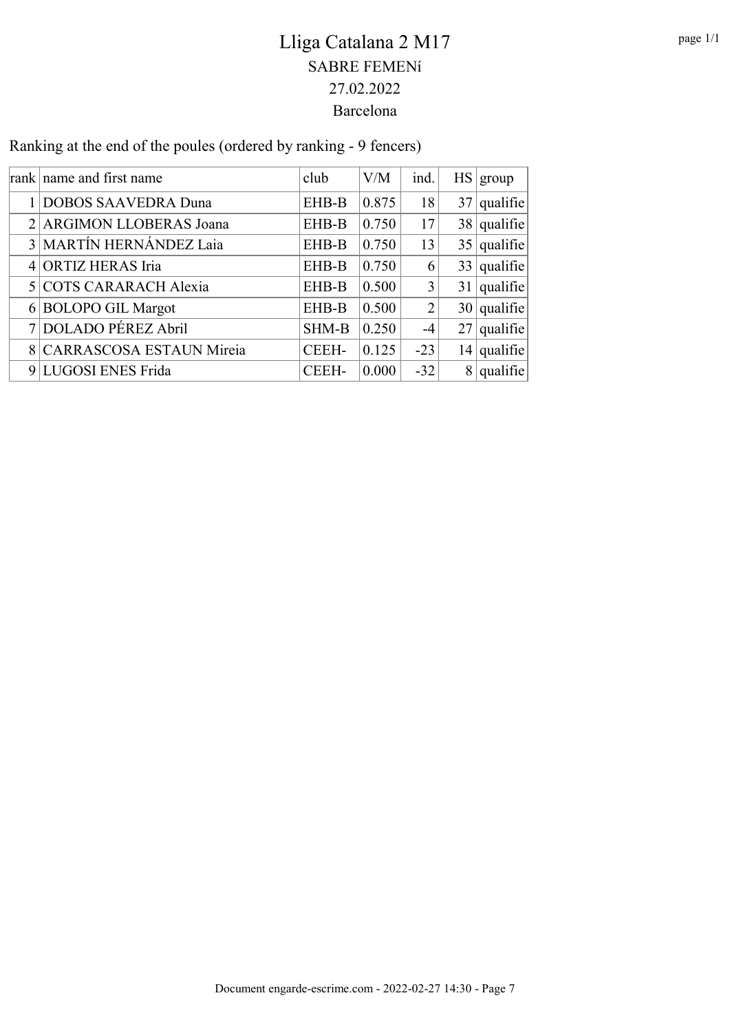Ranking at the end of the poules (ordered by ranking - 9 fencers)

| rank name and first name   | club  | V/M   | ind.           |                | HS   group    |
|----------------------------|-------|-------|----------------|----------------|---------------|
| 1 DOBOS SAAVEDRA Duna      | EHB-B | 0.875 | 18             |                | $37$ qualifie |
| 2 ARGIMON LLOBERAS Joana   | EHB-B | 0.750 | 17             |                | $38$ qualifie |
| 3 MARTÍN HERNÁNDEZ Laia    | EHB-B | 0.750 | 13             |                | $35$ qualifie |
| 4 ORTIZ HERAS Iria         | EHB-B | 0.750 | 6              |                | $33$ qualifie |
| 5 COTS CARARACH Alexia     | EHB-B | 0.500 | 3              |                | $31$ qualifie |
| 6 BOLOPO GIL Margot        | EHB-B | 0.500 | $\overline{2}$ |                | $30$ qualifie |
| 7 DOLADO PÉREZ Abril       | SHM-B | 0.250 | $-4$           |                | $27$ qualifie |
| 8 CARRASCOSA ESTAUN Mireia | CEEH- | 0.125 | $-23$          |                | $14$ qualifie |
| 9 LUGOSI ENES Frida        | CEEH- | 0.000 | $-32$          | 8 <sup>1</sup> | qualifie      |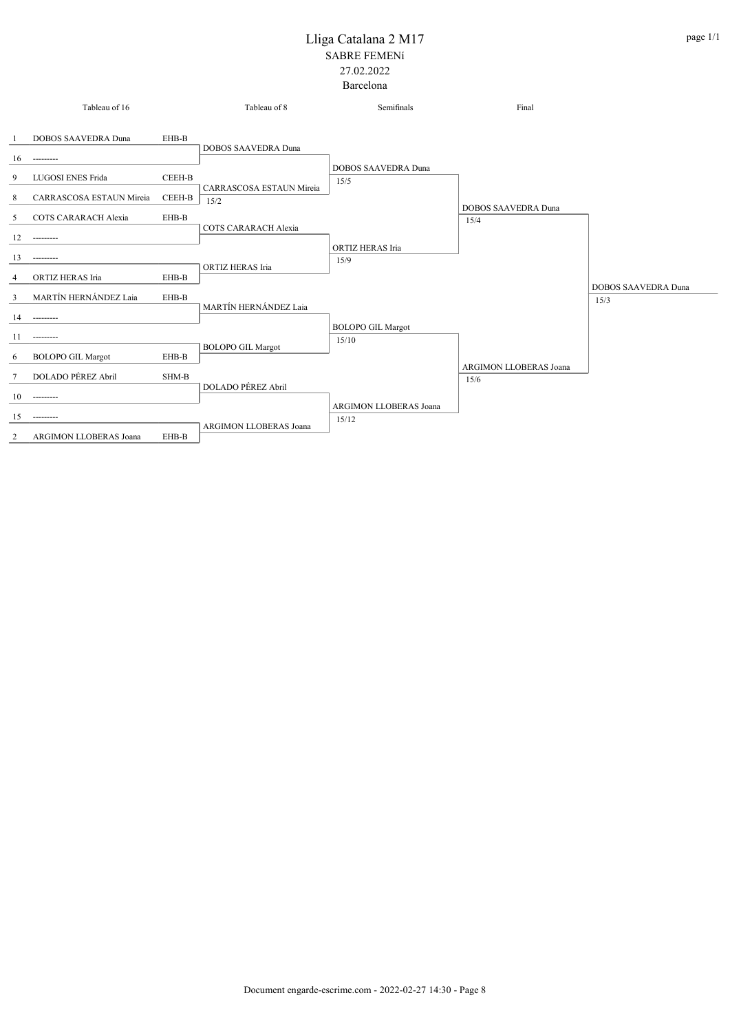|                | Tableau of 16                              |        | Tableau of 8                  | Semifinals                         | Final                         |                            |
|----------------|--------------------------------------------|--------|-------------------------------|------------------------------------|-------------------------------|----------------------------|
| 16             | <b>DOBOS SAAVEDRA Duna</b><br>---------    | EHB-B  | DOBOS SAAVEDRA Duna           |                                    |                               |                            |
| 9              | <b>LUGOSI ENES Frida</b>                   | CEEH-B | CARRASCOSA ESTAUN Mireia      | <b>DOBOS SAAVEDRA Duna</b><br>15/5 |                               |                            |
| 8              | CARRASCOSA ESTAUN Mireia                   | CEEH-B | 15/2                          |                                    | <b>DOBOS SAAVEDRA Duna</b>    |                            |
| 5              | <b>COTS CARARACH Alexia</b>                | EHB-B  | COTS CARARACH Alexia          |                                    | 15/4                          |                            |
| 12             | ---------                                  |        |                               | <b>ORTIZ HERAS Iria</b>            |                               |                            |
| 13             | ---------                                  |        | ORTIZ HERAS Iria              | 15/9                               |                               |                            |
| 4              | ORTIZ HERAS Iria                           | EHB-B  |                               |                                    |                               | <b>DOBOS SAAVEDRA Duna</b> |
| $\overline{3}$ | MARTÍN HERNÁNDEZ Laia                      | EHB-B  | MARTÍN HERNÁNDEZ Laja         |                                    |                               | 15/3                       |
| 14             | ---------                                  |        |                               | <b>BOLOPO GIL Margot</b>           |                               |                            |
| 11             | ---------                                  |        | <b>BOLOPO GIL Margot</b>      | 15/10                              |                               |                            |
| 6              | <b>BOLOPO GIL Margot</b>                   | EHB-B  |                               |                                    | <b>ARGIMON LLOBERAS Joana</b> |                            |
| 7              | DOLADO PÉREZ Abril                         | SHM-B  | DOLADO PÉREZ Abril            |                                    | 15/6                          |                            |
| 10             | ---------                                  |        |                               | <b>ARGIMON LLOBERAS Joana</b>      |                               |                            |
| 15<br>2        | ---------<br><b>ARGIMON LLOBERAS Joana</b> | EHB-B  | <b>ARGIMON LLOBERAS Joana</b> | 15/12                              |                               |                            |
|                |                                            |        |                               |                                    |                               |                            |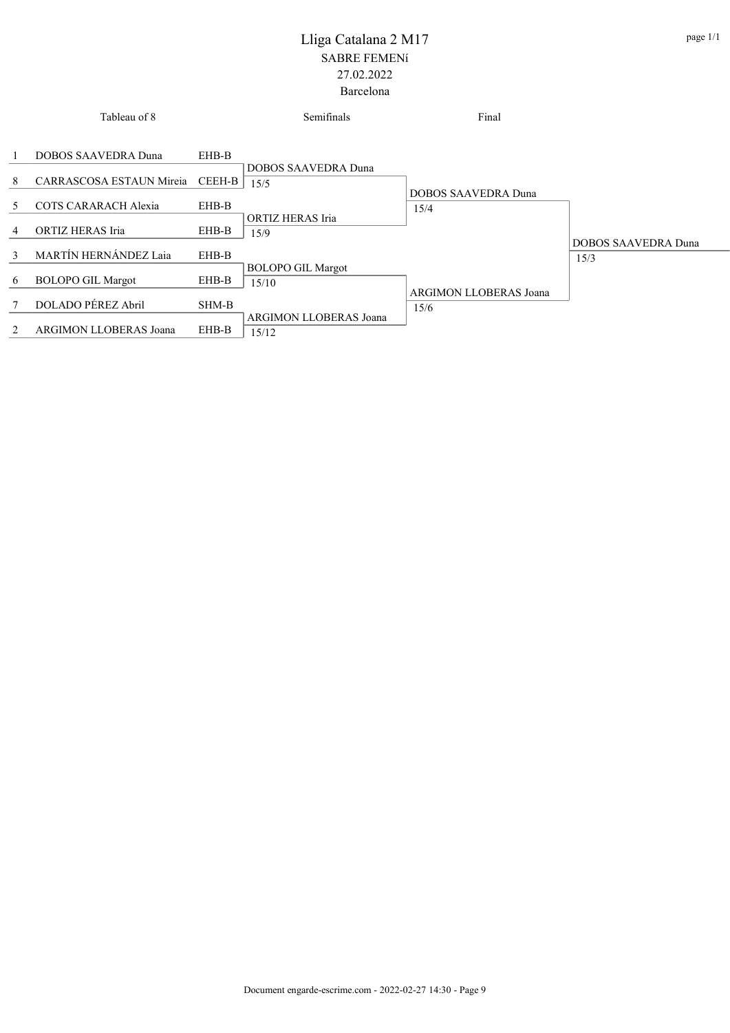|               | Tableau of 8                                    |                 | Semifinals                        | Final                         |                                    |
|---------------|-------------------------------------------------|-----------------|-----------------------------------|-------------------------------|------------------------------------|
| 1<br>8        | DOBOS SAAVEDRA Duna<br>CARRASCOSA ESTAUN Mireia | EHB-B<br>CEEH-B | DOBOS SAAVEDRA Duna               |                               |                                    |
| 5             | COTS CARARACH Alexia                            | EHB-B           | 15/5                              | DOBOS SAAVEDRA Duna<br>15/4   |                                    |
| 4             | ORTIZ HERAS Iria                                | EHB-B           | ORTIZ HERAS Iria<br>15/9          |                               |                                    |
| $\mathcal{E}$ | MARTÍN HERNÁNDEZ Laia                           | EHB-B           |                                   |                               | <b>DOBOS SAAVEDRA Duna</b><br>15/3 |
| 6             | <b>BOLOPO GIL Margot</b>                        | EHB-B           | <b>BOLOPO GIL Margot</b><br>15/10 | <b>ARGIMON LLOBERAS Joana</b> |                                    |
| 7             | DOLADO PÉREZ Abril                              | SHM-B           | <b>ARGIMON LLOBERAS Joana</b>     | 15/6                          |                                    |
| 2             | <b>ARGIMON LLOBERAS Joana</b>                   | EHB-B           | 15/12                             |                               |                                    |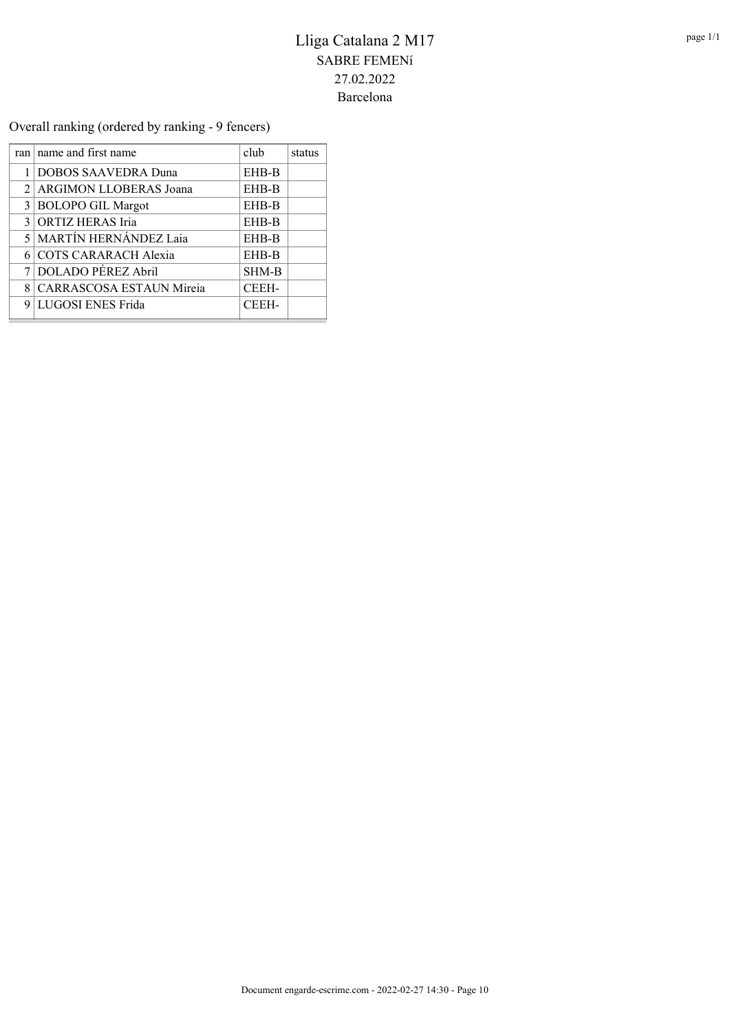Overall ranking (ordered by ranking - 9 fencers)

|                | ran   name and first name    | club         | status |
|----------------|------------------------------|--------------|--------|
|                | DOBOS SAAVEDRA Duna          | EHB-B        |        |
| $\mathfrak{D}$ | ARGIMON LLOBERAS Joana       | EHB-B        |        |
| 3              | <b>BOLOPO GIL Margot</b>     | EHB-B        |        |
| 3              | <b>ORTIZ HERAS Iria</b>      | EHB-B        |        |
| 5              | <b>MARTÍN HERNÁNDEZ Laia</b> | EHB-B        |        |
|                | COTS CARARACH Alexia         | EHB-B        |        |
|                | DOLADO PÉREZ Abril           | <b>SHM-B</b> |        |
| 8              | CARRASCOSA ESTAUN Mireia     | CEEH-        |        |
| 9              | LUGOSI ENES Frida            | <b>CEEH-</b> |        |